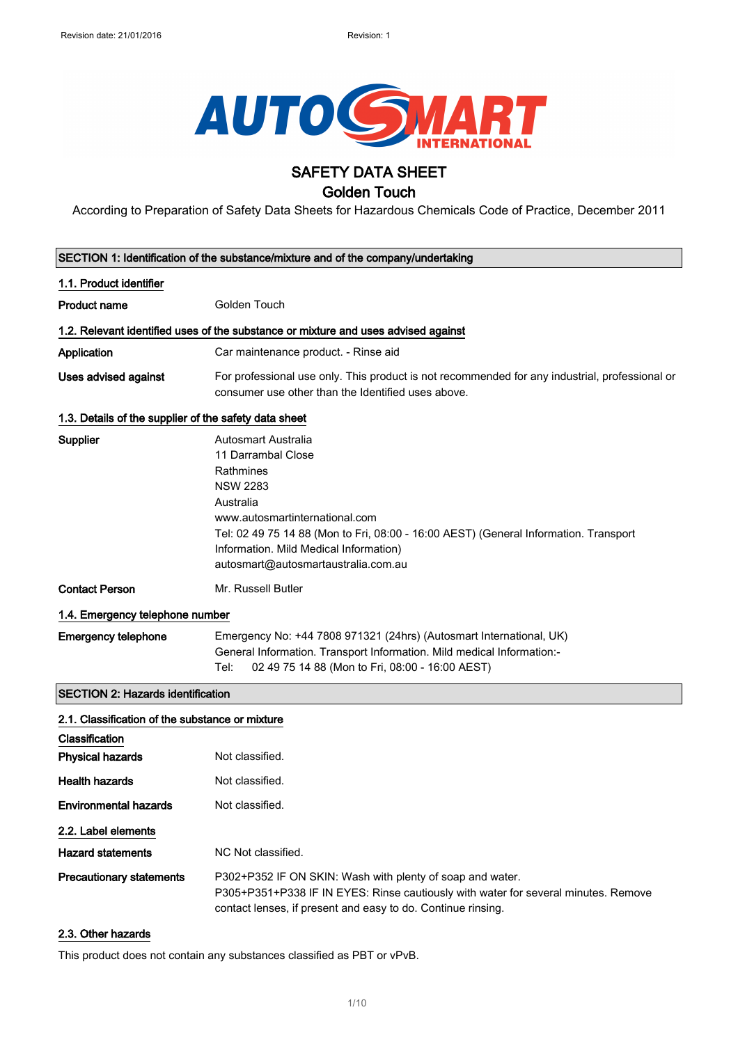

## SAFETY DATA SHEET

### Golden Touch

According to Preparation of Safety Data Sheets for Hazardous Chemicals Code of Practice, December 2011

|                                                       | SECTION 1: Identification of the substance/mixture and of the company/undertaking                                                                                                                                                                                                                 |
|-------------------------------------------------------|---------------------------------------------------------------------------------------------------------------------------------------------------------------------------------------------------------------------------------------------------------------------------------------------------|
| 1.1. Product identifier                               |                                                                                                                                                                                                                                                                                                   |
| <b>Product name</b>                                   | Golden Touch                                                                                                                                                                                                                                                                                      |
|                                                       | 1.2. Relevant identified uses of the substance or mixture and uses advised against                                                                                                                                                                                                                |
| Application                                           | Car maintenance product. - Rinse aid                                                                                                                                                                                                                                                              |
| Uses advised against                                  | For professional use only. This product is not recommended for any industrial, professional or<br>consumer use other than the Identified uses above.                                                                                                                                              |
| 1.3. Details of the supplier of the safety data sheet |                                                                                                                                                                                                                                                                                                   |
| Supplier                                              | Autosmart Australia<br>11 Darrambal Close<br>Rathmines<br><b>NSW 2283</b><br>Australia<br>www.autosmartinternational.com<br>Tel: 02 49 75 14 88 (Mon to Fri, 08:00 - 16:00 AEST) (General Information. Transport<br>Information. Mild Medical Information)<br>autosmart@autosmartaustralia.com.au |
| <b>Contact Person</b>                                 | Mr. Russell Butler                                                                                                                                                                                                                                                                                |
| 1.4. Emergency telephone number                       |                                                                                                                                                                                                                                                                                                   |
| <b>Emergency telephone</b>                            | Emergency No: +44 7808 971321 (24hrs) (Autosmart International, UK)<br>General Information. Transport Information. Mild medical Information:-<br>02 49 75 14 88 (Mon to Fri, 08:00 - 16:00 AEST)<br>Tel:                                                                                          |
| <b>SECTION 2: Hazards identification</b>              |                                                                                                                                                                                                                                                                                                   |
| 2.1. Classification of the substance or mixture       |                                                                                                                                                                                                                                                                                                   |
| Classification                                        |                                                                                                                                                                                                                                                                                                   |
| <b>Physical hazards</b>                               | Not classified.                                                                                                                                                                                                                                                                                   |
| <b>Health hazards</b>                                 | Not classified.                                                                                                                                                                                                                                                                                   |
| <b>Environmental hazards</b>                          | Not classified.                                                                                                                                                                                                                                                                                   |
| 2.2. Label elements                                   |                                                                                                                                                                                                                                                                                                   |
| <b>Hazard statements</b>                              | NC Not classified.                                                                                                                                                                                                                                                                                |
| <b>Precautionary statements</b>                       | P302+P352 IF ON SKIN: Wash with plenty of soap and water.<br>P305+P351+P338 IF IN EYES: Rinse cautiously with water for several minutes. Remove<br>contact lenses, if present and easy to do. Continue rinsing.                                                                                   |

#### 2.3. Other hazards

This product does not contain any substances classified as PBT or vPvB.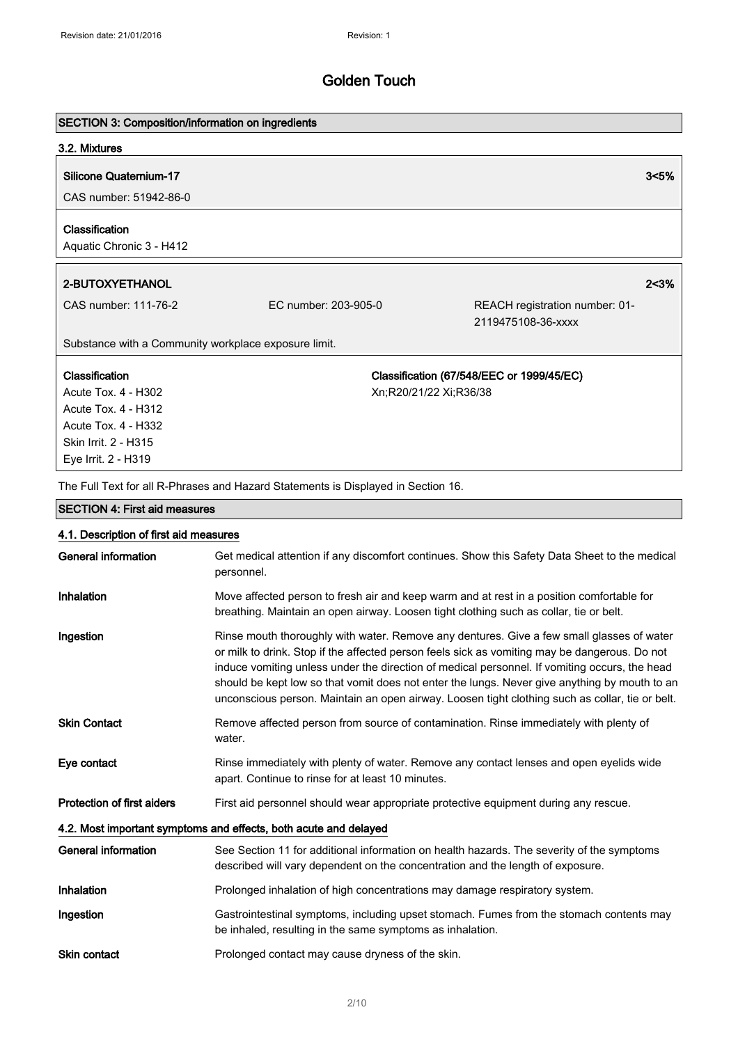# SECTION 3: Composition/information on ingredients 3.2. Mixtures Silicone Quaternium-17 3<5% CAS number: 51942-86-0 Classification Aquatic Chronic 3 - H412 2-BUTOXYETHANOL 2<3%

Classification Acute Tox. 4 - H302 Acute Tox. 4 - H312 Acute Tox. 4 - H332 Skin Irrit. 2 - H315 Eye Irrit. 2 - H319

CAS number: 111-76-2 EC number: 203-905-0 REACH registration number: 01- 2119475108-36-xxxx

Substance with a Community workplace exposure limit.

Classification (67/548/EEC or 1999/45/EC) Xn;R20/21/22 Xi;R36/38

The Full Text for all R-Phrases and Hazard Statements is Displayed in Section 16.

#### SECTION 4: First aid measures

| 4.1. Description of first aid measures |                                                                                                                                                                                                                                                                                                                                                                                                                                                                                                 |
|----------------------------------------|-------------------------------------------------------------------------------------------------------------------------------------------------------------------------------------------------------------------------------------------------------------------------------------------------------------------------------------------------------------------------------------------------------------------------------------------------------------------------------------------------|
| <b>General information</b>             | Get medical attention if any discomfort continues. Show this Safety Data Sheet to the medical<br>personnel.                                                                                                                                                                                                                                                                                                                                                                                     |
| <b>Inhalation</b>                      | Move affected person to fresh air and keep warm and at rest in a position comfortable for<br>breathing. Maintain an open airway. Loosen tight clothing such as collar, tie or belt.                                                                                                                                                                                                                                                                                                             |
| Ingestion                              | Rinse mouth thoroughly with water. Remove any dentures. Give a few small glasses of water<br>or milk to drink. Stop if the affected person feels sick as vomiting may be dangerous. Do not<br>induce vomiting unless under the direction of medical personnel. If vomiting occurs, the head<br>should be kept low so that vomit does not enter the lungs. Never give anything by mouth to an<br>unconscious person. Maintain an open airway. Loosen tight clothing such as collar, tie or belt. |
| <b>Skin Contact</b>                    | Remove affected person from source of contamination. Rinse immediately with plenty of<br>water.                                                                                                                                                                                                                                                                                                                                                                                                 |
| Eye contact                            | Rinse immediately with plenty of water. Remove any contact lenses and open eyelids wide<br>apart. Continue to rinse for at least 10 minutes.                                                                                                                                                                                                                                                                                                                                                    |
| <b>Protection of first aiders</b>      | First aid personnel should wear appropriate protective equipment during any rescue.                                                                                                                                                                                                                                                                                                                                                                                                             |
|                                        | 4.2. Most important symptoms and effects, both acute and delayed                                                                                                                                                                                                                                                                                                                                                                                                                                |
| General information                    | See Section 11 for additional information on health hazards. The severity of the symptoms<br>described will vary dependent on the concentration and the length of exposure.                                                                                                                                                                                                                                                                                                                     |
| Inhalation                             | Prolonged inhalation of high concentrations may damage respiratory system.                                                                                                                                                                                                                                                                                                                                                                                                                      |
| Ingestion                              | Gastrointestinal symptoms, including upset stomach. Fumes from the stomach contents may<br>be inhaled, resulting in the same symptoms as inhalation.                                                                                                                                                                                                                                                                                                                                            |
| <b>Skin contact</b>                    | Prolonged contact may cause dryness of the skin.                                                                                                                                                                                                                                                                                                                                                                                                                                                |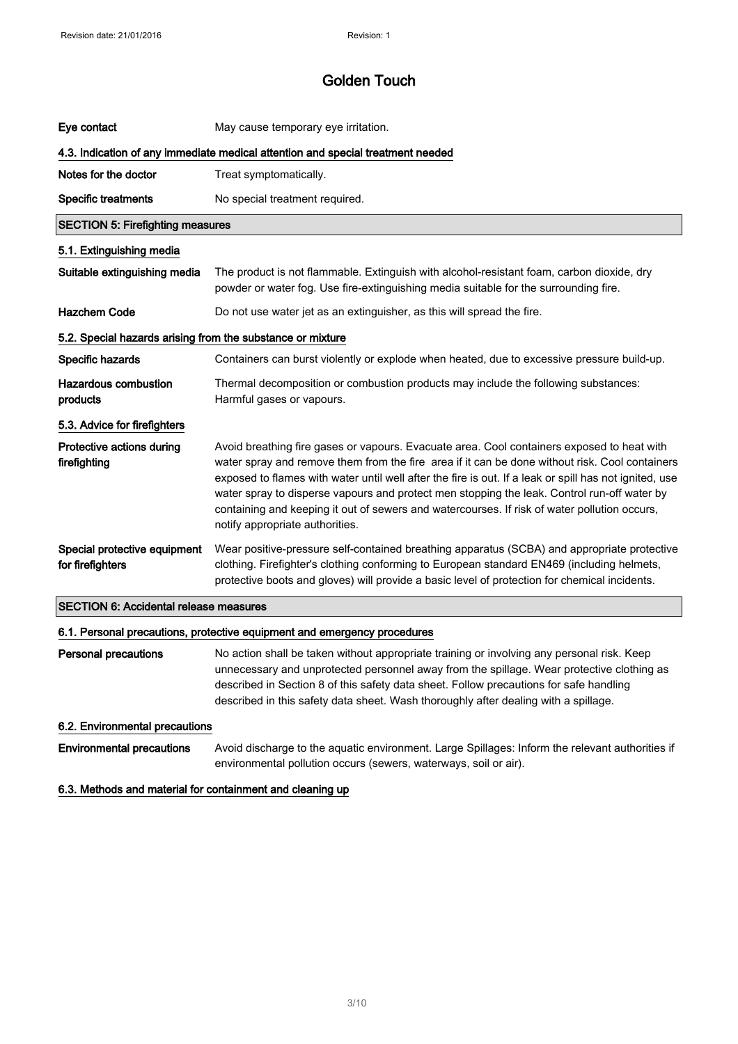| Eye contact                                                                     | May cause temporary eye irritation.                                                                                                                                                                                                                                                                                                                                                                                                                                                                                                      |
|---------------------------------------------------------------------------------|------------------------------------------------------------------------------------------------------------------------------------------------------------------------------------------------------------------------------------------------------------------------------------------------------------------------------------------------------------------------------------------------------------------------------------------------------------------------------------------------------------------------------------------|
| 4.3. Indication of any immediate medical attention and special treatment needed |                                                                                                                                                                                                                                                                                                                                                                                                                                                                                                                                          |
| Notes for the doctor                                                            | Treat symptomatically.                                                                                                                                                                                                                                                                                                                                                                                                                                                                                                                   |
| <b>Specific treatments</b>                                                      | No special treatment required.                                                                                                                                                                                                                                                                                                                                                                                                                                                                                                           |
| <b>SECTION 5: Firefighting measures</b>                                         |                                                                                                                                                                                                                                                                                                                                                                                                                                                                                                                                          |
| 5.1. Extinguishing media                                                        |                                                                                                                                                                                                                                                                                                                                                                                                                                                                                                                                          |
| Suitable extinguishing media                                                    | The product is not flammable. Extinguish with alcohol-resistant foam, carbon dioxide, dry<br>powder or water fog. Use fire-extinguishing media suitable for the surrounding fire.                                                                                                                                                                                                                                                                                                                                                        |
| <b>Hazchem Code</b>                                                             | Do not use water jet as an extinguisher, as this will spread the fire.                                                                                                                                                                                                                                                                                                                                                                                                                                                                   |
| 5.2. Special hazards arising from the substance or mixture                      |                                                                                                                                                                                                                                                                                                                                                                                                                                                                                                                                          |
| Specific hazards                                                                | Containers can burst violently or explode when heated, due to excessive pressure build-up.                                                                                                                                                                                                                                                                                                                                                                                                                                               |
| Hazardous combustion<br>products                                                | Thermal decomposition or combustion products may include the following substances:<br>Harmful gases or vapours.                                                                                                                                                                                                                                                                                                                                                                                                                          |
| 5.3. Advice for firefighters                                                    |                                                                                                                                                                                                                                                                                                                                                                                                                                                                                                                                          |
| Protective actions during<br>firefighting                                       | Avoid breathing fire gases or vapours. Evacuate area. Cool containers exposed to heat with<br>water spray and remove them from the fire area if it can be done without risk. Cool containers<br>exposed to flames with water until well after the fire is out. If a leak or spill has not ignited, use<br>water spray to disperse vapours and protect men stopping the leak. Control run-off water by<br>containing and keeping it out of sewers and watercourses. If risk of water pollution occurs,<br>notify appropriate authorities. |
| Special protective equipment<br>for firefighters                                | Wear positive-pressure self-contained breathing apparatus (SCBA) and appropriate protective<br>clothing. Firefighter's clothing conforming to European standard EN469 (including helmets,<br>protective boots and gloves) will provide a basic level of protection for chemical incidents.                                                                                                                                                                                                                                               |
| <b>SECTION 6: Accidental release measures</b>                                   |                                                                                                                                                                                                                                                                                                                                                                                                                                                                                                                                          |
|                                                                                 | 6.1. Personal precautions, protective equipment and emergency procedures                                                                                                                                                                                                                                                                                                                                                                                                                                                                 |
| <b>Personal precautions</b>                                                     | No action shall be taken without appropriate training or involving any personal risk. Keep<br>unnecessary and unprotected personnel away from the spillage. Wear protective clothing as<br>described in Section 8 of this safety data sheet. Follow precautions for safe handling<br>described in this safety data sheet. Wash thoroughly after dealing with a spillage.                                                                                                                                                                 |
| 6.2. Environmental precautions                                                  |                                                                                                                                                                                                                                                                                                                                                                                                                                                                                                                                          |
| <b>Environmental precautions</b>                                                | Avoid discharge to the aquatic environment. Large Spillages: Inform the relevant authorities if<br>environmental pollution occurs (sewers, waterways, soil or air).                                                                                                                                                                                                                                                                                                                                                                      |
| 6.3. Methods and material for containment and cleaning up                       |                                                                                                                                                                                                                                                                                                                                                                                                                                                                                                                                          |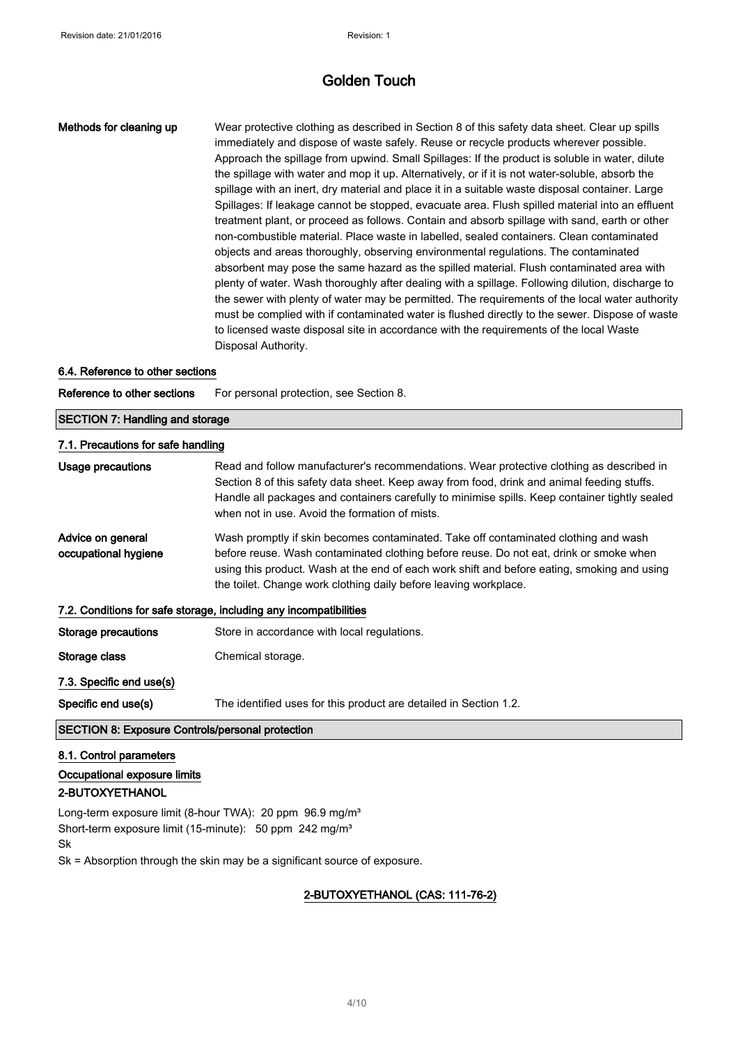Methods for cleaning up Wear protective clothing as described in Section 8 of this safety data sheet. Clear up spills immediately and dispose of waste safely. Reuse or recycle products wherever possible. Approach the spillage from upwind. Small Spillages: If the product is soluble in water, dilute the spillage with water and mop it up. Alternatively, or if it is not water-soluble, absorb the spillage with an inert, dry material and place it in a suitable waste disposal container. Large Spillages: If leakage cannot be stopped, evacuate area. Flush spilled material into an effluent treatment plant, or proceed as follows. Contain and absorb spillage with sand, earth or other non-combustible material. Place waste in labelled, sealed containers. Clean contaminated objects and areas thoroughly, observing environmental regulations. The contaminated absorbent may pose the same hazard as the spilled material. Flush contaminated area with plenty of water. Wash thoroughly after dealing with a spillage. Following dilution, discharge to the sewer with plenty of water may be permitted. The requirements of the local water authority must be complied with if contaminated water is flushed directly to the sewer. Dispose of waste to licensed waste disposal site in accordance with the requirements of the local Waste Disposal Authority.

#### 6.4. Reference to other sections

Reference to other sections For personal protection, see Section 8.

| <b>SECTION 7: Handling and storage</b>                            |                                                                                                                                                                                                                                                                                                                                                  |
|-------------------------------------------------------------------|--------------------------------------------------------------------------------------------------------------------------------------------------------------------------------------------------------------------------------------------------------------------------------------------------------------------------------------------------|
| 7.1. Precautions for safe handling                                |                                                                                                                                                                                                                                                                                                                                                  |
| Usage precautions                                                 | Read and follow manufacturer's recommendations. Wear protective clothing as described in<br>Section 8 of this safety data sheet. Keep away from food, drink and animal feeding stuffs.<br>Handle all packages and containers carefully to minimise spills. Keep container tightly sealed<br>when not in use. Avoid the formation of mists.       |
| Advice on general<br>occupational hygiene                         | Wash promptly if skin becomes contaminated. Take off contaminated clothing and wash<br>before reuse. Wash contaminated clothing before reuse. Do not eat, drink or smoke when<br>using this product. Wash at the end of each work shift and before eating, smoking and using<br>the toilet. Change work clothing daily before leaving workplace. |
| 7.2. Conditions for safe storage, including any incompatibilities |                                                                                                                                                                                                                                                                                                                                                  |
| Storage precautions                                               | Store in accordance with local regulations.                                                                                                                                                                                                                                                                                                      |
| Storage class                                                     | Chemical storage.                                                                                                                                                                                                                                                                                                                                |
| 7.3. Specific end use(s)                                          |                                                                                                                                                                                                                                                                                                                                                  |
| Specific end use(s)                                               | The identified uses for this product are detailed in Section 1.2.                                                                                                                                                                                                                                                                                |
| <b>SECTION 8: Exposure Controls/personal protection</b>           |                                                                                                                                                                                                                                                                                                                                                  |
| 8.1. Control parameters                                           |                                                                                                                                                                                                                                                                                                                                                  |

### Occupational exposure limits 2-BUTOXYETHANOL

Long-term exposure limit (8-hour TWA): 20 ppm 96.9 mg/m<sup>3</sup> Short-term exposure limit (15-minute): 50 ppm 242 mg/m<sup>3</sup> Sk

Sk = Absorption through the skin may be a significant source of exposure.

### 2-BUTOXYETHANOL (CAS: 111-76-2)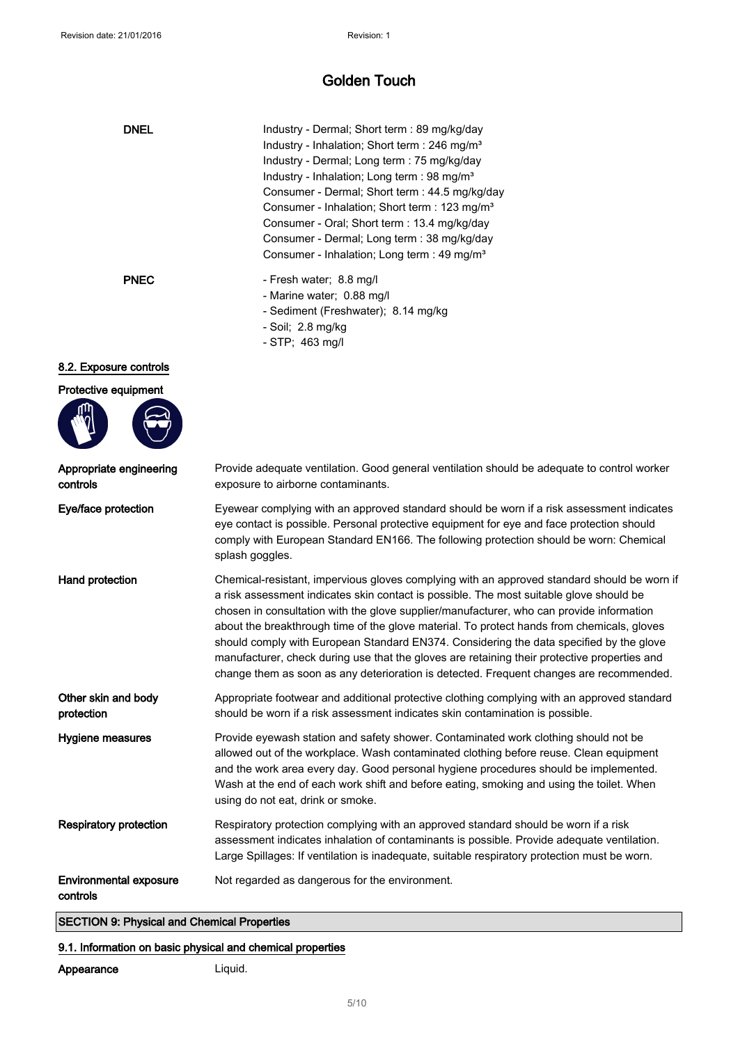| <b>DNEL</b>                               | Industry - Dermal; Short term : 89 mg/kg/day<br>Industry - Inhalation; Short term : 246 mg/m <sup>3</sup><br>Industry - Dermal; Long term : 75 mg/kg/day<br>Industry - Inhalation; Long term : 98 mg/m <sup>3</sup><br>Consumer - Dermal; Short term : 44.5 mg/kg/day<br>Consumer - Inhalation; Short term : 123 mg/m <sup>3</sup><br>Consumer - Oral; Short term : 13.4 mg/kg/day<br>Consumer - Dermal; Long term : 38 mg/kg/day<br>Consumer - Inhalation; Long term : 49 mg/m <sup>3</sup>                                                                                                                                                                           |
|-------------------------------------------|------------------------------------------------------------------------------------------------------------------------------------------------------------------------------------------------------------------------------------------------------------------------------------------------------------------------------------------------------------------------------------------------------------------------------------------------------------------------------------------------------------------------------------------------------------------------------------------------------------------------------------------------------------------------|
| <b>PNEC</b>                               | - Fresh water; 8.8 mg/l<br>- Marine water; 0.88 mg/l<br>- Sediment (Freshwater); 8.14 mg/kg<br>- Soil; 2.8 mg/kg<br>- STP; 463 mg/l                                                                                                                                                                                                                                                                                                                                                                                                                                                                                                                                    |
| 8.2. Exposure controls                    |                                                                                                                                                                                                                                                                                                                                                                                                                                                                                                                                                                                                                                                                        |
| Protective equipment                      |                                                                                                                                                                                                                                                                                                                                                                                                                                                                                                                                                                                                                                                                        |
| Appropriate engineering<br>controls       | Provide adequate ventilation. Good general ventilation should be adequate to control worker<br>exposure to airborne contaminants.                                                                                                                                                                                                                                                                                                                                                                                                                                                                                                                                      |
| Eye/face protection                       | Eyewear complying with an approved standard should be worn if a risk assessment indicates<br>eye contact is possible. Personal protective equipment for eye and face protection should<br>comply with European Standard EN166. The following protection should be worn: Chemical<br>splash goggles.                                                                                                                                                                                                                                                                                                                                                                    |
| Hand protection                           | Chemical-resistant, impervious gloves complying with an approved standard should be worn if<br>a risk assessment indicates skin contact is possible. The most suitable glove should be<br>chosen in consultation with the glove supplier/manufacturer, who can provide information<br>about the breakthrough time of the glove material. To protect hands from chemicals, gloves<br>should comply with European Standard EN374. Considering the data specified by the glove<br>manufacturer, check during use that the gloves are retaining their protective properties and<br>change them as soon as any deterioration is detected. Frequent changes are recommended. |
| Other skin and body<br>protection         | Appropriate footwear and additional protective clothing complying with an approved standard<br>should be worn if a risk assessment indicates skin contamination is possible.                                                                                                                                                                                                                                                                                                                                                                                                                                                                                           |
| Hygiene measures                          | Provide eyewash station and safety shower. Contaminated work clothing should not be<br>allowed out of the workplace. Wash contaminated clothing before reuse. Clean equipment<br>and the work area every day. Good personal hygiene procedures should be implemented.<br>Wash at the end of each work shift and before eating, smoking and using the toilet. When<br>using do not eat, drink or smoke.                                                                                                                                                                                                                                                                 |
| Respiratory protection                    | Respiratory protection complying with an approved standard should be worn if a risk<br>assessment indicates inhalation of contaminants is possible. Provide adequate ventilation.<br>Large Spillages: If ventilation is inadequate, suitable respiratory protection must be worn.                                                                                                                                                                                                                                                                                                                                                                                      |
| <b>Environmental exposure</b><br>controls | Not regarded as dangerous for the environment.                                                                                                                                                                                                                                                                                                                                                                                                                                                                                                                                                                                                                         |

SECTION 9: Physical and Chemical Properties

### 9.1. Information on basic physical and chemical properties

### Appearance Liquid.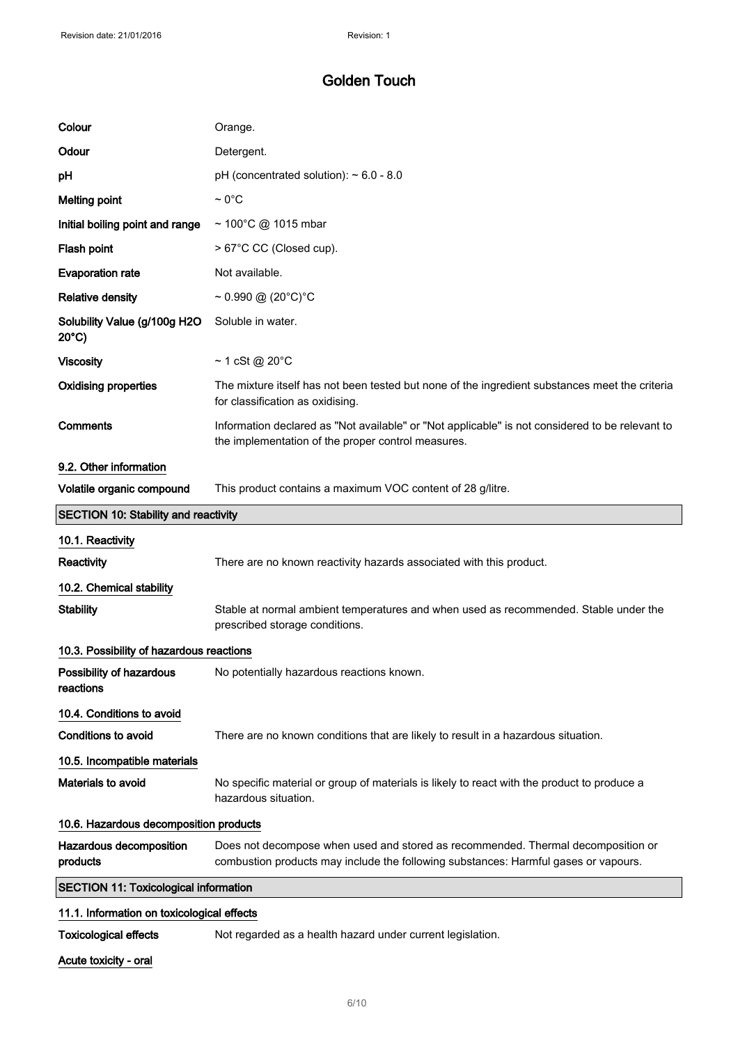| Colour                                          | Orange.                                                                                                                                                                 |
|-------------------------------------------------|-------------------------------------------------------------------------------------------------------------------------------------------------------------------------|
| Odour                                           | Detergent.                                                                                                                                                              |
| рH                                              | pH (concentrated solution): $\sim 6.0$ - 8.0                                                                                                                            |
| <b>Melting point</b>                            | $\sim 0^{\circ}$ C                                                                                                                                                      |
| Initial boiling point and range                 | ~ 100°C @ 1015 mbar                                                                                                                                                     |
| Flash point                                     | > 67°C CC (Closed cup).                                                                                                                                                 |
| <b>Evaporation rate</b>                         | Not available.                                                                                                                                                          |
| <b>Relative density</b>                         | $\sim 0.990 \; \textcircled{a} \; (20\textdegree\text{C})\textdegree\text{C}$                                                                                           |
| Solubility Value (g/100g H2O<br>$20^{\circ}$ C) | Soluble in water.                                                                                                                                                       |
| <b>Viscosity</b>                                | $\sim$ 1 cSt @ 20 $\degree$ C                                                                                                                                           |
| <b>Oxidising properties</b>                     | The mixture itself has not been tested but none of the ingredient substances meet the criteria<br>for classification as oxidising.                                      |
| Comments                                        | Information declared as "Not available" or "Not applicable" is not considered to be relevant to<br>the implementation of the proper control measures.                   |
| 9.2. Other information                          |                                                                                                                                                                         |
| Volatile organic compound                       | This product contains a maximum VOC content of 28 g/litre.                                                                                                              |
| <b>SECTION 10: Stability and reactivity</b>     |                                                                                                                                                                         |
|                                                 |                                                                                                                                                                         |
| 10.1. Reactivity                                |                                                                                                                                                                         |
| Reactivity                                      | There are no known reactivity hazards associated with this product.                                                                                                     |
| 10.2. Chemical stability                        |                                                                                                                                                                         |
| <b>Stability</b>                                | Stable at normal ambient temperatures and when used as recommended. Stable under the<br>prescribed storage conditions.                                                  |
| 10.3. Possibility of hazardous reactions        |                                                                                                                                                                         |
| Possibility of hazardous<br>reactions           | No potentially hazardous reactions known.                                                                                                                               |
| 10.4. Conditions to avoid                       |                                                                                                                                                                         |
| <b>Conditions to avoid</b>                      | There are no known conditions that are likely to result in a hazardous situation.                                                                                       |
| 10.5. Incompatible materials                    |                                                                                                                                                                         |
| <b>Materials to avoid</b>                       | No specific material or group of materials is likely to react with the product to produce a<br>hazardous situation.                                                     |
| 10.6. Hazardous decomposition products          |                                                                                                                                                                         |
| Hazardous decomposition<br>products             | Does not decompose when used and stored as recommended. Thermal decomposition or<br>combustion products may include the following substances: Harmful gases or vapours. |
| <b>SECTION 11: Toxicological information</b>    |                                                                                                                                                                         |
| 11.1. Information on toxicological effects      |                                                                                                                                                                         |

Toxicological effects Not regarded as a health hazard under current legislation.

Acute toxicity - oral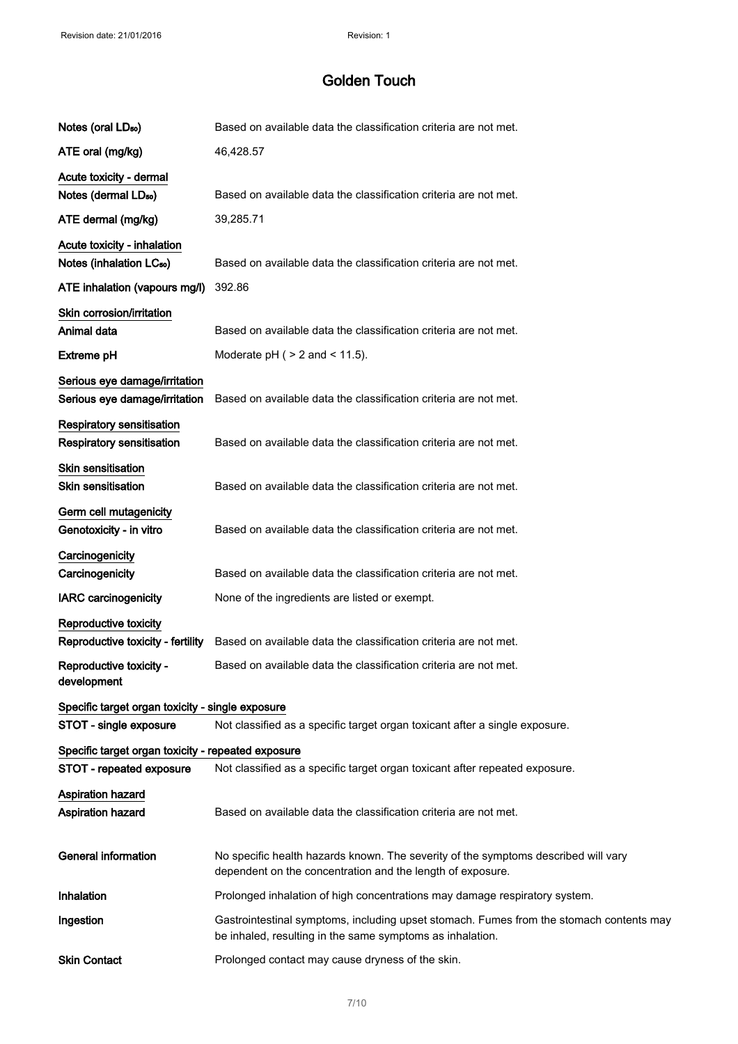| Notes (oral LD <sub>50</sub> )                                       | Based on available data the classification criteria are not met.                                                                                     |
|----------------------------------------------------------------------|------------------------------------------------------------------------------------------------------------------------------------------------------|
| ATE oral (mg/kg)                                                     | 46,428.57                                                                                                                                            |
| Acute toxicity - dermal                                              |                                                                                                                                                      |
| Notes (dermal LD <sub>50</sub> )                                     | Based on available data the classification criteria are not met.                                                                                     |
| ATE dermal (mg/kg)                                                   | 39,285.71                                                                                                                                            |
| Acute toxicity - inhalation                                          |                                                                                                                                                      |
| Notes (inhalation LC <sub>50</sub> )                                 | Based on available data the classification criteria are not met.                                                                                     |
| ATE inhalation (vapours mg/l)                                        | 392.86                                                                                                                                               |
| Skin corrosion/irritation                                            |                                                                                                                                                      |
| Animal data                                                          | Based on available data the classification criteria are not met.                                                                                     |
| <b>Extreme pH</b>                                                    | Moderate $pH$ ( $> 2$ and $< 11.5$ ).                                                                                                                |
| Serious eye damage/irritation<br>Serious eye damage/irritation       | Based on available data the classification criteria are not met.                                                                                     |
| <b>Respiratory sensitisation</b><br><b>Respiratory sensitisation</b> | Based on available data the classification criteria are not met.                                                                                     |
| <b>Skin sensitisation</b><br><b>Skin sensitisation</b>               | Based on available data the classification criteria are not met.                                                                                     |
| Germ cell mutagenicity<br>Genotoxicity - in vitro                    | Based on available data the classification criteria are not met.                                                                                     |
| Carcinogenicity                                                      |                                                                                                                                                      |
| Carcinogenicity                                                      | Based on available data the classification criteria are not met.                                                                                     |
| <b>IARC</b> carcinogenicity                                          | None of the ingredients are listed or exempt.                                                                                                        |
| Reproductive toxicity                                                |                                                                                                                                                      |
| Reproductive toxicity - fertility                                    | Based on available data the classification criteria are not met.                                                                                     |
| Reproductive toxicity -<br>development                               | Based on available data the classification criteria are not met.                                                                                     |
| Specific target organ toxicity - single exposure                     |                                                                                                                                                      |
| STOT - single exposure                                               | Not classified as a specific target organ toxicant after a single exposure.                                                                          |
| Specific target organ toxicity - repeated exposure                   |                                                                                                                                                      |
| STOT - repeated exposure                                             | Not classified as a specific target organ toxicant after repeated exposure.                                                                          |
| Aspiration hazard<br>Aspiration hazard                               | Based on available data the classification criteria are not met.                                                                                     |
| <b>General information</b>                                           | No specific health hazards known. The severity of the symptoms described will vary<br>dependent on the concentration and the length of exposure.     |
| Inhalation                                                           | Prolonged inhalation of high concentrations may damage respiratory system.                                                                           |
| Ingestion                                                            | Gastrointestinal symptoms, including upset stomach. Fumes from the stomach contents may<br>be inhaled, resulting in the same symptoms as inhalation. |
| <b>Skin Contact</b>                                                  | Prolonged contact may cause dryness of the skin.                                                                                                     |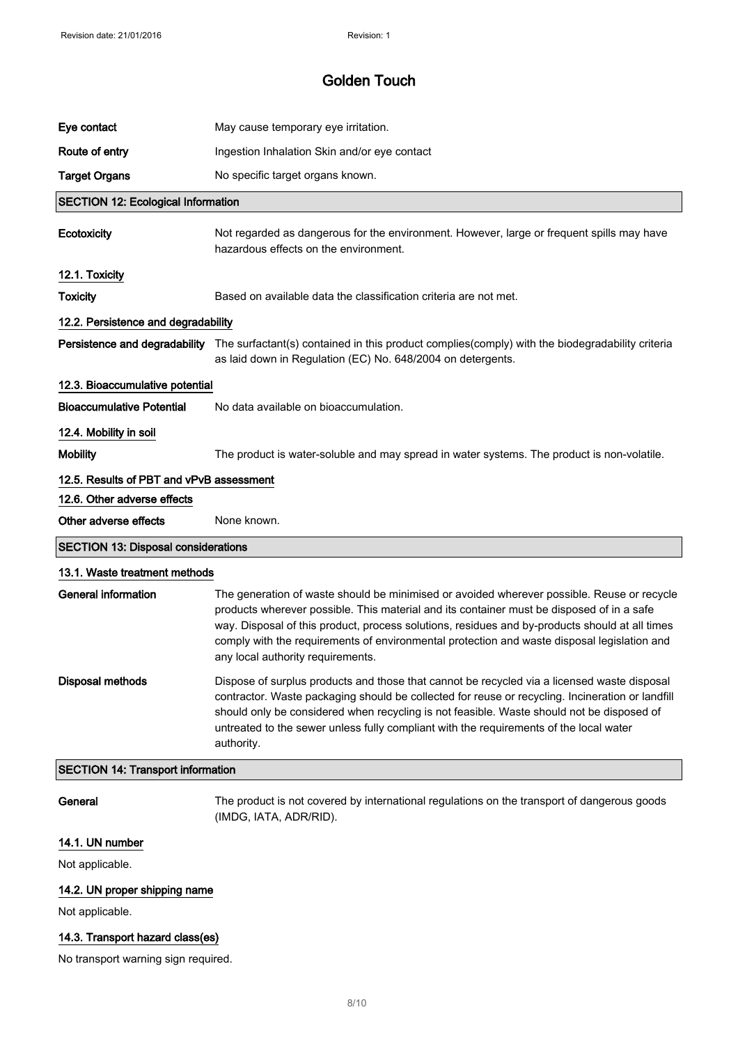| Eye contact                                | May cause temporary eye irritation.                                                                                                                                                                                                                                                                                                                                                                                           |
|--------------------------------------------|-------------------------------------------------------------------------------------------------------------------------------------------------------------------------------------------------------------------------------------------------------------------------------------------------------------------------------------------------------------------------------------------------------------------------------|
| Route of entry                             | Ingestion Inhalation Skin and/or eye contact                                                                                                                                                                                                                                                                                                                                                                                  |
| <b>Target Organs</b>                       | No specific target organs known.                                                                                                                                                                                                                                                                                                                                                                                              |
| <b>SECTION 12: Ecological Information</b>  |                                                                                                                                                                                                                                                                                                                                                                                                                               |
| Ecotoxicity                                | Not regarded as dangerous for the environment. However, large or frequent spills may have<br>hazardous effects on the environment.                                                                                                                                                                                                                                                                                            |
| 12.1. Toxicity                             |                                                                                                                                                                                                                                                                                                                                                                                                                               |
| <b>Toxicity</b>                            | Based on available data the classification criteria are not met.                                                                                                                                                                                                                                                                                                                                                              |
| 12.2. Persistence and degradability        |                                                                                                                                                                                                                                                                                                                                                                                                                               |
|                                            | Persistence and degradability The surfactant(s) contained in this product complies(comply) with the biodegradability criteria<br>as laid down in Regulation (EC) No. 648/2004 on detergents.                                                                                                                                                                                                                                  |
| 12.3. Bioaccumulative potential            |                                                                                                                                                                                                                                                                                                                                                                                                                               |
| <b>Bioaccumulative Potential</b>           | No data available on bioaccumulation.                                                                                                                                                                                                                                                                                                                                                                                         |
| 12.4. Mobility in soil                     |                                                                                                                                                                                                                                                                                                                                                                                                                               |
| <b>Mobility</b>                            | The product is water-soluble and may spread in water systems. The product is non-volatile.                                                                                                                                                                                                                                                                                                                                    |
| 12.5. Results of PBT and vPvB assessment   |                                                                                                                                                                                                                                                                                                                                                                                                                               |
| 12.6. Other adverse effects                |                                                                                                                                                                                                                                                                                                                                                                                                                               |
| Other adverse effects                      | None known.                                                                                                                                                                                                                                                                                                                                                                                                                   |
| <b>SECTION 13: Disposal considerations</b> |                                                                                                                                                                                                                                                                                                                                                                                                                               |
|                                            |                                                                                                                                                                                                                                                                                                                                                                                                                               |
| 13.1. Waste treatment methods              |                                                                                                                                                                                                                                                                                                                                                                                                                               |
| <b>General information</b>                 | The generation of waste should be minimised or avoided wherever possible. Reuse or recycle<br>products wherever possible. This material and its container must be disposed of in a safe<br>way. Disposal of this product, process solutions, residues and by-products should at all times<br>comply with the requirements of environmental protection and waste disposal legislation and<br>any local authority requirements. |
| <b>Disposal methods</b>                    | Dispose of surplus products and those that cannot be recycled via a licensed waste disposal<br>contractor. Waste packaging should be collected for reuse or recycling. Incineration or landfill<br>should only be considered when recycling is not feasible. Waste should not be disposed of<br>untreated to the sewer unless fully compliant with the requirements of the local water<br>authority.                          |
| <b>SECTION 14: Transport information</b>   |                                                                                                                                                                                                                                                                                                                                                                                                                               |
| General                                    | The product is not covered by international regulations on the transport of dangerous goods<br>(IMDG, IATA, ADR/RID).                                                                                                                                                                                                                                                                                                         |
| 14.1. UN number                            |                                                                                                                                                                                                                                                                                                                                                                                                                               |
| Not applicable.                            |                                                                                                                                                                                                                                                                                                                                                                                                                               |
| 14.2. UN proper shipping name              |                                                                                                                                                                                                                                                                                                                                                                                                                               |
| Not applicable.                            |                                                                                                                                                                                                                                                                                                                                                                                                                               |

# 14.3. Transport hazard class(es)

No transport warning sign required.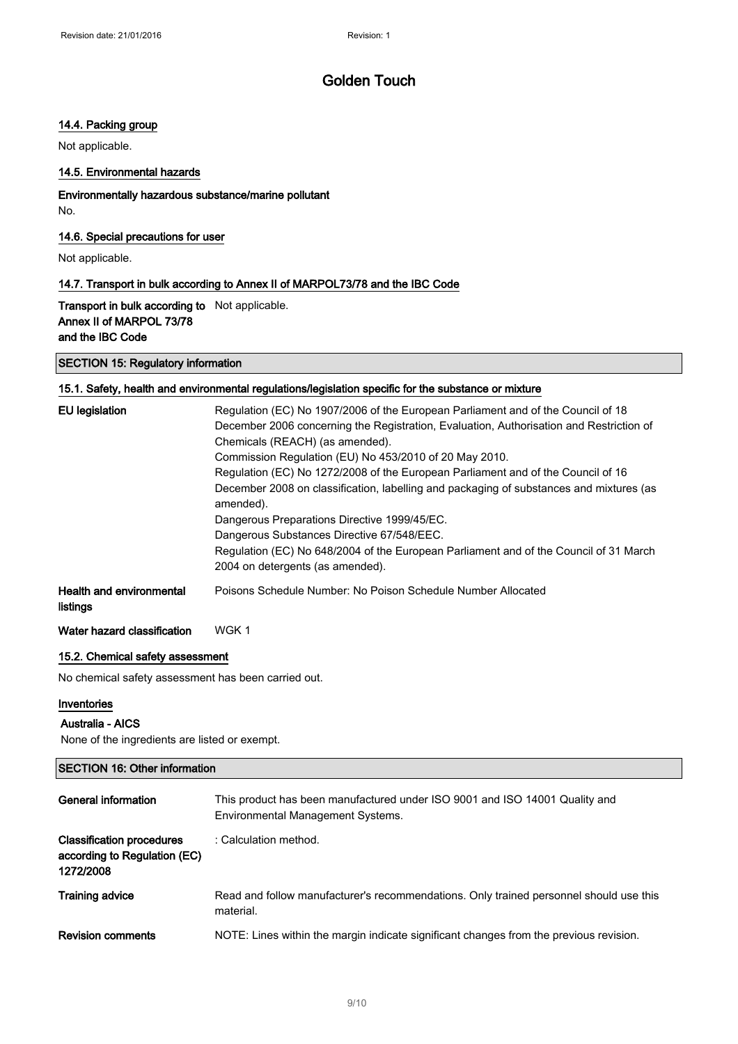### 14.4. Packing group

Not applicable.

### 14.5. Environmental hazards

Environmentally hazardous substance/marine pollutant No.

### 14.6. Special precautions for user

Not applicable.

### 14.7. Transport in bulk according to Annex II of MARPOL73/78 and the IBC Code

Transport in bulk according to Not applicable. Annex II of MARPOL 73/78 and the IBC Code

### SECTION 15: Regulatory information

### 15.1. Safety, health and environmental regulations/legislation specific for the substance or mixture

| <b>EU</b> legislation                       | Regulation (EC) No 1907/2006 of the European Parliament and of the Council of 18                                          |
|---------------------------------------------|---------------------------------------------------------------------------------------------------------------------------|
|                                             | December 2006 concerning the Registration, Evaluation, Authorisation and Restriction of                                   |
|                                             | Chemicals (REACH) (as amended).                                                                                           |
|                                             | Commission Regulation (EU) No 453/2010 of 20 May 2010.                                                                    |
|                                             | Regulation (EC) No 1272/2008 of the European Parliament and of the Council of 16                                          |
|                                             | December 2008 on classification, labelling and packaging of substances and mixtures (as<br>amended).                      |
|                                             | Dangerous Preparations Directive 1999/45/EC.                                                                              |
|                                             | Dangerous Substances Directive 67/548/EEC.                                                                                |
|                                             | Regulation (EC) No 648/2004 of the European Parliament and of the Council of 31 March<br>2004 on detergents (as amended). |
| <b>Health and environmental</b><br>listings | Poisons Schedule Number: No Poison Schedule Number Allocated                                                              |
| Water hazard classification                 | WGK 1                                                                                                                     |

#### 15.2. Chemical safety assessment

No chemical safety assessment has been carried out.

#### Inventories

#### Australia - AICS

None of the ingredients are listed or exempt.

### SECTION 16: Other information

| General information                                                           | This product has been manufactured under ISO 9001 and ISO 14001 Quality and<br>Environmental Management Systems. |
|-------------------------------------------------------------------------------|------------------------------------------------------------------------------------------------------------------|
| <b>Classification procedures</b><br>according to Regulation (EC)<br>1272/2008 | : Calculation method.                                                                                            |
| <b>Training advice</b>                                                        | Read and follow manufacturer's recommendations. Only trained personnel should use this<br>material.              |
| <b>Revision comments</b>                                                      | NOTE: Lines within the margin indicate significant changes from the previous revision.                           |